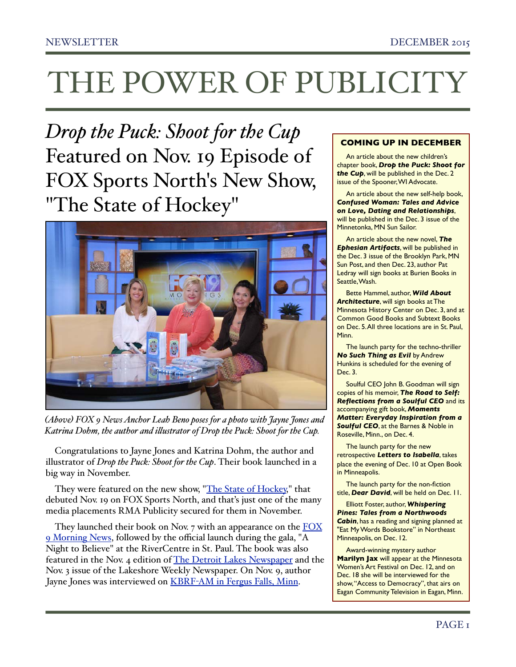*Drop the Puck: Shoot for the Cup* Featured on Nov. 19 Episode of FOX Sports North's New Show, "The State of Hockey"



*(Above) FOX 9 News Anchor Leah Beno poses for a photo with Jayne Jones and Katrina Dohm, the author and ilustrator of Drop the Puck: Shoot for the Cup.* 

Congratulations to Jayne Jones and Katrina Dohm, the author and illustrator of *Drop the Puck: Shoot for the Cup*. Their book launched in a big way in November.

They were featured on the new show, ["The State of Hockey,](https://www.youtube.com/watch?v=PkKySIgtm48)" that debuted Nov. 19 on FOX Sports North, and that's just one of the many media placements RMA Publicity secured for them in November.

They launched their book on Nov.  $7$  with an appearance on the  $\overline{\text{FOX}}$ [9 Morning News](https://youtu.be/AUCNo8zVir0), followed by the official launch during the gala, "A Night to Believe" at the RiverCentre in St. Paul. The book was also featured in the Nov. 4 edition of [The Detroit Lakes Newspaper](http://www.dl-online.com/entertainment/books/3875531-new-drop-puck-book-set-make-its-debut-saturday) and the Nov. 3 issue of the Lakeshore Weekly Newspaper. On Nov. 9, author Jayne Jones was interviewed on KBRF-[AM in Fergus Falls, Minn](http://www.rmapublicity.com/images/stories/Audio/Drop%20the%20Puck%20-%20KBRF%20Radio,%20Fergus%20Falls%20-%20November%209,%202015.mp3).

#### **COMING UP IN DECEMBER**

An article about the new children's chapter book, *Drop the Puck: Shoot for the Cup*, will be published in the Dec. 2 issue of the Spooner, WI Advocate.

An article about the new self-help book, *Confused Woman: Tales and Advice on Love, Dating and Relationships*, will be published in the Dec. 3 issue of the Minnetonka, MN Sun Sailor.

An article about the new novel, *The Ephesian Artifacts*, will be published in the Dec. 3 issue of the Brooklyn Park, MN Sun Post, and then Dec. 23, author Pat Ledray will sign books at Burien Books in Seattle, Wash.

Bette Hammel, author, *Wild About Architecture*, will sign books at The Minnesota History Center on Dec. 3, and at Common Good Books and Subtext Books on Dec. 5. All three locations are in St. Paul, Minn.

The launch party for the techno-thriller *No Such Thing as Evil* by Andrew Hunkins is scheduled for the evening of Dec. 3.

Soulful CEO John B. Goodman will sign copies of his memoir, *The Road to Self: Reflections from a Soulful CEO* and its accompanying gift book, *Moments Matter: Everyday Inspiration from a Soulful CEO*, at the Barnes & Noble in Roseville, Minn., on Dec. 4.

The launch party for the new retrospective *Letters to Isabella*, takes place the evening of Dec. 10 at Open Book in Minneapolis.

The launch party for the non-fiction title, *Dear David*, will be held on Dec. 11.

Elliott Foster, author, *Whispering Pines: Tales from a Northwoods Cabin*, has a reading and signing planned at "Eat My Words Bookstore" in Northeast Minneapolis, on Dec. 12.

Award-winning mystery author **Marilyn Jax** will appear at the Minnesota Women's Art Festival on Dec. 12, and on Dec. 18 she will be interviewed for the show, "Access to Democracy", that airs on Eagan Community Television in Eagan, Minn.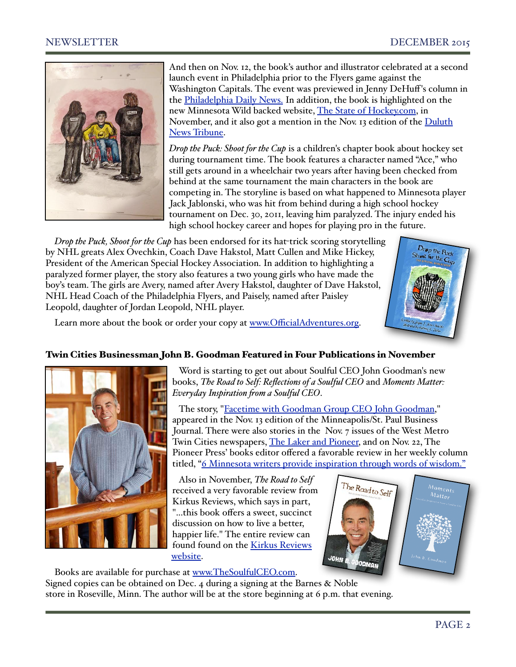

And then on Nov. 12, the book's author and illustrator celebrated at a second launch event in Philadelphia prior to the Flyers game against the Washington Capitals. The event was previewed in Jenny DeHuff's column in the [Philadelphia Daily News.](http://www.philly.com/philly/entertainment/celebrities/20151112_Sober_Colin_Hay_plans_to_surprise_us.html) In addition, the book is highlighted on the new Minnesota Wild backed website, [The State of Hockey.com,](http://www.stateofhockey.com/news_article/show/574970?referrer_id=2025644) in November, and it also got a mention in the Nov. 13 edition of the [Duluth](http://www.duluthnewstribune.com/features/weekend/3881593-book-blurb-drop-puck-shoot-cup)  [News Tribune.](http://www.duluthnewstribune.com/features/weekend/3881593-book-blurb-drop-puck-shoot-cup)

*Drop the Puck: Shoot for the Cup* is a children's chapter book about hockey set during tournament time. The book features a character named "Ace," who still gets around in a wheelchair two years after having been checked from behind at the same tournament the main characters in the book are competing in. The storyline is based on what happened to Minnesota player Jack Jablonski, who was hit from behind during a high school hockey tournament on Dec. 30, 2011, leaving him paralyzed. The injury ended his high school hockey career and hopes for playing pro in the future.

*Drop the Puck, Shoot for the Cup* has been endorsed for its hat-trick scoring storytelling by NHL greats Alex Ovechkin, Coach Dave Hakstol, Matt Cullen and Mike Hickey, President of the American Special Hockey Association. In addition to highlighting a paralyzed former player, the story also features a two young girls who have made the boy's team. The girls are Avery, named after Avery Hakstol, daughter of Dave Hakstol, NHL Head Coach of the Philadelphia Flyers, and Paisely, named after Paisley Leopold, daughter of Jordan Leopold, NHL player.



Learn more about the book or order your copy at www.Offi[cialAdventures.org.](http://www.OfficialAdventures.org)

# Twin Cities Businessman John B. Goodman Featured in Four Publications in November



 Word is starting to get out about Soulful CEO John Goodman's new books, *The Road to Self: Reflections of a Soulful CEO* and *Moments Matter: Everyday Inspiration fom a Soulful CEO*.

 The story, ["Facetime with Goodman Group CEO John Goodman,](http://www.bizjournals.com/twincities/print-edition/2015/11/13/face-time-ceo-john-goodman-group-road-to-self.html)" appeared in the Nov. 13 edition of the Minneapolis/St. Paul Business Journal. There were also stories in the Nov. 7 issues of the West Metro Twin Cities newspapers, [The Laker and Pioneer,](http://lakerpioneer.com/2015/11/10/minnetonka-beachs-soulful-ceo-authors-two-books/) and on Nov. 22, The Pioneer Press' books editor offered a favorable review in her weekly column titled, ["6 Minnesota writers provide inspiration through words of wisdom."](http://www.twincities.com/entertainment/ci_29140389/four-minnesota-writers-provide-inspiration-through-pithy-quotes)

 Also in November, *The Road to Self* received a very favorable review from Kirkus Reviews, which says in part, "...this book offers a sweet, succinct discussion on how to live a better, happier life." The entire review can found found on the Kirkus Reviews [website.](https://www.kirkusreviews.com/book-reviews/john-b-goodman/the-road-to-self/)



Books are available for purchase at [www.TheSoulfulCEO.com.](http://www.TheSoulfulCEO.com) Signed copies can be obtained on Dec. 4 during a signing at the Barnes & Noble store in Roseville, Minn. The author will be at the store beginning at 6 p.m. that evening.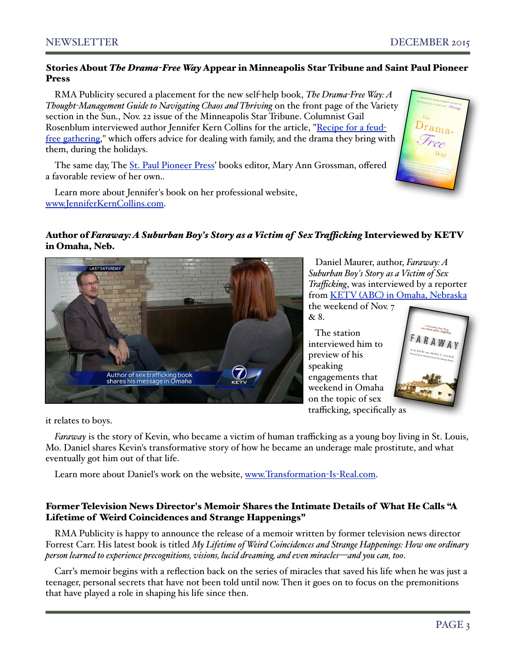## Stories About *The Drama-Free Way* Appear in Minneapolis Star Tribune and Saint Paul Pioneer Press

RMA Publicity secured a placement for the new self-help book, *The Drama-Free Way: A Thought-Management Guide to Navigating Chaos and Thriving* on the front page of the Variety section in the Sun., Nov. 22 issue of the Minneapolis Star Tribune. Columnist Gail Rosenblum interviewed author Jennifer Kern Collins for the article, ["Recipe for a feud](http://www.startribune.com/rosenblum-this-year-a-recipe-for-a-feud-free-gathering/351908461/)[free gathering,](http://www.startribune.com/rosenblum-this-year-a-recipe-for-a-feud-free-gathering/351908461/)" which offers advice for dealing with family, and the drama they bring with them, during the holidays.

The same day, The [St. Paul Pioneer Press'](http://www.twincities.com/entertainment/ci_29140389/four-minnesota-writers-provide-inspiration-through-pithy-quotes) books editor, Mary Ann Grossman, offered a favorable review of her own..



Learn more about Jennifer's book on her professional website, [www.JenniferKernCollins.com.](http://www.JenniferKernCollins.com)

# Author of *Faraway: A Suburban Boy's Story as a Victim of Sex Trafcking* Interviewed by KETV in Omaha, Neb.



 Daniel Maurer, author, *Faraway: A Suburban Boy's Story as a Victim of Sex Trafficking*, was interviewed by a reporter from KETV (ABC) [in Omaha, Nebraska](http://www.ketv.com/news/author-shares-message-about-sex-trafficking-in-omaha-over-the-weekend/36355202) the weekend of Nov. 7

& 8.

 The station interviewed him to preview of his speaking engagements that weekend in Omaha on the topic of sex trafficking, specifically as



it relates to boys.

*Faraway* is the story of Kevin, who became a victim of human trafficking as a young boy living in St. Louis, Mo. Daniel shares Kevin's transformative story of how he became an underage male prostitute, and what eventually got him out of that life.

Learn more about Daniel's work on the website, [www.Transformation](http://www.Transformation-Is-Real.com)-Is-Real.com.

## Former Television News Director's Memoir Shares the Intimate Details of What He Calls "A Lifetime of Weird Coincidences and Strange Happenings"

RMA Publicity is happy to announce the release of a memoir written by former television news director Forrest Carr. His latest book is titled *My Lifetime of Weird Coincidences and Strange Happenings: How one ordinary person learned to experience precognitions, visions, lucid dreaming, and even miracles—and you can, too*.

Carr's memoir begins with a reflection back on the series of miracles that saved his life when he was just a teenager, personal secrets that have not been told until now. Then it goes on to focus on the premonitions that have played a role in shaping his life since then.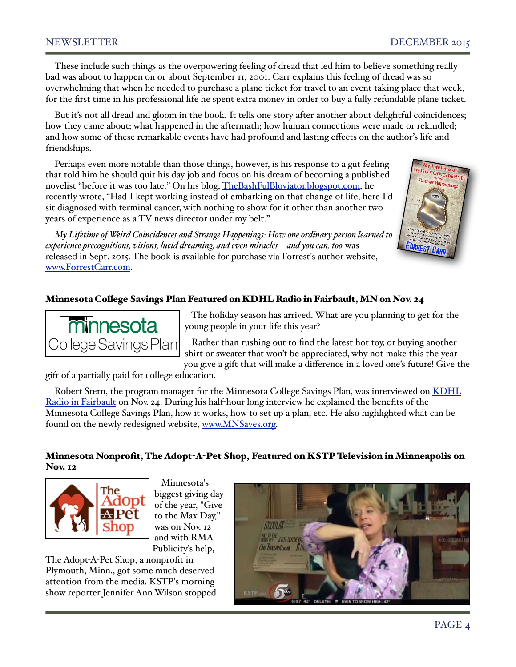These include such things as the overpowering feeling of dread that led him to believe something really bad was about to happen on or about September 11, 2001. Carr explains this feeling of dread was so overwhelming that when he needed to purchase a plane ticket for travel to an event taking place that week, for the first time in his professional life he spent extra money in order to buy a fully refundable plane ticket.

But it's not all dread and gloom in the book. It tells one story after another about delightful coincidences; how they came about; what happened in the aftermath; how human connections were made or rekindled; and how some of these remarkable events have had profound and lasting effects on the author's life and friendships.

Perhaps even more notable than those things, however, is his response to a gut feeling that told him he should quit his day job and focus on his dream of becoming a published novelist "before it was too late." On his blog, [TheBashFulBloviator.blogspot.com,](http://TheBashFulBloviator.blogspot.com) he recently wrote, "Had I kept working instead of embarking on that change of life, here I'd sit diagnosed with terminal cancer, with nothing to show for it other than another two years of experience as a TV news director under my belt."



*My Lifetime of Weird Coincidences and Strange Happenings: How one ordinary person learned to experience precognitions, visions, lucid dreaming, and even miracles—and you can, too* was released in Sept. 2015. The book is available for purchase via Forrest's author website, [www.ForrestCarr.com.](http://www.ForrestCarr.com)

# Minnesota College Savings Plan Featured on KDHL Radio in Fairbault, MN on Nov. 24



 The holiday season has arrived. What are you planning to get for the young people in your life this year?

 Rather than rushing out to find the latest hot toy, or buying another shirt or sweater that won't be appreciated, why not make this the year you give a gift that will make a difference in a loved one's future! Give the

gift of a partially paid for college education.

Robert Stern, the program manager for the Minnesota College Savings Plan, was interviewed on KDHL [Radio in Fairbault](http://www.rmapublicity.com/images/stories/Audio/TIAA%20CREF%20-%20MN%20College%20Savings%20Plan%20-%20KDHL%20Radio,%20Faribault%20-%20November%2024,%202015.mp3) on Nov. 24. During his half-hour long interview he explained the benefits of the Minnesota College Savings Plan, how it works, how to set up a plan, etc. He also highlighted what can be found on the newly redesigned website, [www.MNSaves.org.](http://www.MNSaves.org)

# Minnesota Nonprofit, The Adopt-A-Pet Shop, Featured on KSTP Television in Minneapolis on Nov. 12



 Minnesota's biggest giving day of the year, "Give to the Max Day," was on Nov. 12 and with RMA Publicity's help,

The Adopt-A-Pet Shop, a nonprofit in Plymouth, Minn., got some much deserved attention from the media. KSTP's morning show reporter Jennifer Ann Wilson stopped

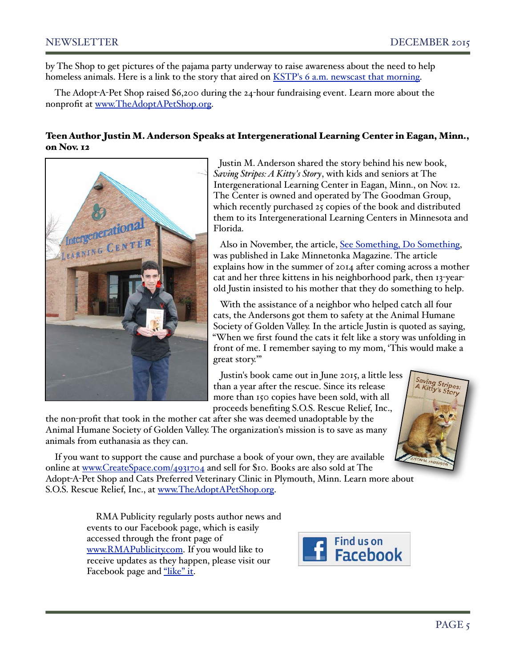by The Shop to get pictures of the pajama party underway to raise awareness about the need to help homeless animals. Here is a link to the story that aired on [KSTP's 6 a.m. newscast that morning.](https://www.youtube.com/watch?v=jUc0eNE2QRc&feature=youtu.be)

The Adopt-A-Pet Shop raised \$6,200 during the 24-hour fundraising event. Learn more about the nonprofit at [www.TheAdoptAPetShop.org.](http://www.TheAdoptAPetShop.org)

## Teen Author Justin M. Anderson Speaks at Intergenerational Learning Center in Eagan, Minn., on Nov. 12



 Justin M. Anderson shared the story behind his new book, *Saving Stripes: A Kitty's Story*, with kids and seniors at The Intergenerational Learning Center in Eagan, Minn., on Nov. 12. The Center is owned and operated by The Goodman Group, which recently purchased 25 copies of the book and distributed them to its Intergenerational Learning Centers in Minnesota and Florida.

 Also in November, the article, [See Something, Do Something,](http://lakeminnetonkamag.com/see-something-do-something) was published in Lake Minnetonka Magazine. The article explains how in the summer of 2014 after coming across a mother cat and her three kittens in his neighborhood park, then 13-yearold Justin insisted to his mother that they do something to help.

 With the assistance of a neighbor who helped catch all four cats, the Andersons got them to safety at the Animal Humane Society of Golden Valley. In the article Justin is quoted as saying, "When we first found the cats it felt like a story was unfolding in front of me. I remember saying to my mom, 'This would make a great story.'"

 Justin's book came out in June 2015, a little less than a year after the rescue. Since its release more than 150 copies have been sold, with all proceeds benefiting S.O.S. Rescue Relief, Inc.,

the non-profit that took in the mother cat after she was deemed unadoptable by the Animal Humane Society of Golden Valley. The organization's mission is to save as many animals from euthanasia as they can.



If you want to support the cause and purchase a book of your own, they are available online at [www.CreateSpace.com/4931704](http://www.CreateSpace.com/4931704) and sell for \$10. Books are also sold at The Adopt-A-Pet Shop and Cats Preferred Veterinary Clinic in Plymouth, Minn. Learn more about S.O.S. Rescue Relief, Inc., at [www.TheAdoptAPetShop.org.](http://www.TheAdoptAPetShop.org)

> RMA Publicity regularly posts author news and events to our Facebook page, which is easily accessed through the front page of [www.RMAPublicity.com.](http://www.RMAPublicity.com) If you would like to receive updates as they happen, please visit our Facebook page and ["like" it.](https://www.facebook.com/rmapublicity1)

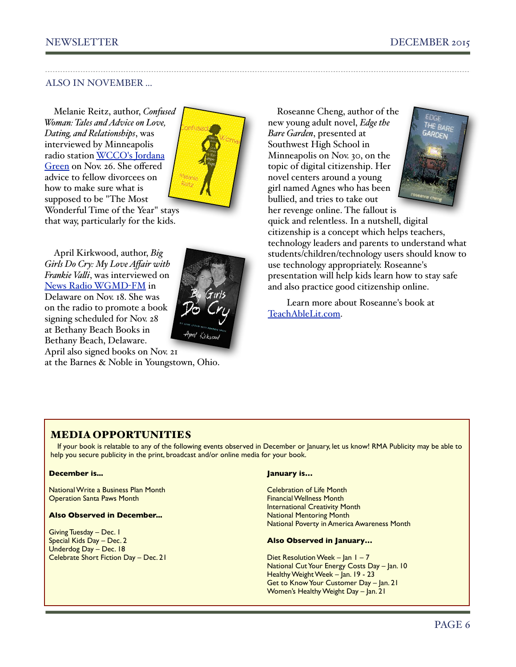# ALSO IN NOVEMBER ...

Melanie Reitz, author, *Confused Woman: Tales and Advice on Love, Dating, and Relationships*, was interviewed by Minneapolis radio station [WCCO's Jordana](http://www.rmapublicity.com/images/stories/Audio/Confused%20Woman%20-%20WCCO%20Radio,%20Minneapolis%20-%20November%2026,%202015.mp3)  [Green](http://www.rmapublicity.com/images/stories/Audio/Confused%20Woman%20-%20WCCO%20Radio,%20Minneapolis%20-%20November%2026,%202015.mp3) on Nov. 26. She offered advice to fellow divorcees on how to make sure what is supposed to be "The Most Wonderful Time of the Year" stays that way, particularly for the kids.



April Kirkwood, author, *Big Girls Do Cry: My Love Affair with Frankie Vali*, was interviewed on [News Radio WGMD](http://www.rmapublicity.com/images/stories/Audio/Big%20Girls%20Do%20Cry%20-%20WGMD%20Radio,%20Delaware%20-%20November%2018,%202015.mp3)-FM in Delaware on Nov. 18. She was on the radio to promote a book signing scheduled for Nov. 28 at Bethany Beach Books in Bethany Beach, Delaware. April also signed books on Nov. 21

at the Barnes & Noble in Youngstown, Ohio.

Roseanne Cheng, author of the new young adult novel, *Edge the Bare Garden*, presented at Southwest High School in Minneapolis on Nov. 30, on the topic of digital citizenship. Her novel centers around a young girl named Agnes who has been bullied, and tries to take out her revenge online. The fallout is



quick and relentless. In a nutshell, digital citizenship is a concept which helps teachers, technology leaders and parents to understand what students/children/technology users should know to use technology appropriately. Roseanne's presentation will help kids learn how to stay safe and also practice good citizenship online.

 Learn more about Roseanne's book at [TeachAbleLit.com.](http://www.TeachAbleLit.com)

## MEDIA OPPORTUNITIES

If your book is relatable to any of the following events observed in December or January, let us know! RMA Publicity may be able to help you secure publicity in the print, broadcast and/or online media for your book.

#### **December is...**

National Write a Business Plan Month Operation Santa Paws Month

#### **Also Observed in December...**

Giving Tuesday – Dec. 1 Special Kids Day – Dec. 2 Underdog Day – Dec. 18 Celebrate Short Fiction Day – Dec. 21

#### **January is…**

Celebration of Life Month Financial Wellness Month International Creativity Month National Mentoring Month National Poverty in America Awareness Month

#### **Also Observed in January…**

Diet Resolution Week – Jan 1 – 7 National Cut Your Energy Costs Day – Jan. 10 Healthy Weight Week – Jan. 19 - 23 Get to Know Your Customer Day – Jan. 21 Women's Healthy Weight Day - Jan. 21